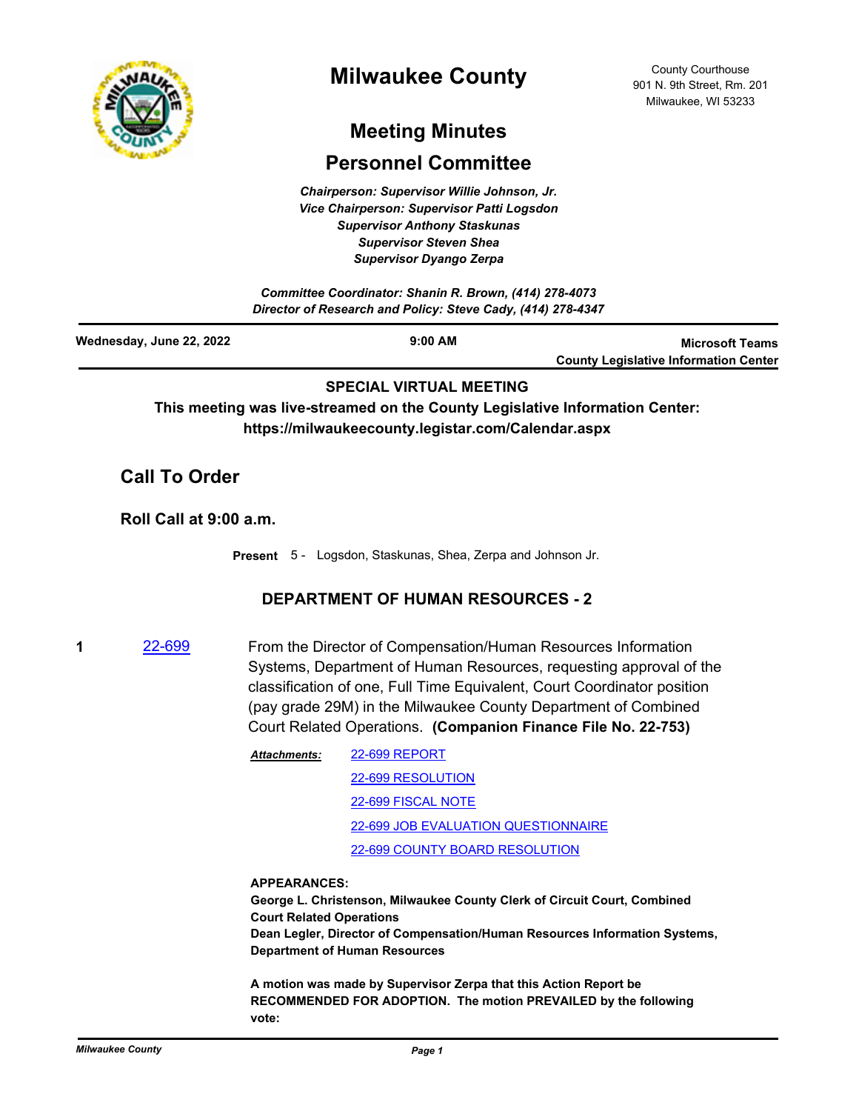

# **Milwaukee County**

County Courthouse 901 N. 9th Street, Rm. 201 Milwaukee, WI 53233

# **Meeting Minutes**

## **Personnel Committee**

*Chairperson: Supervisor Willie Johnson, Jr. Vice Chairperson: Supervisor Patti Logsdon Supervisor Anthony Staskunas Supervisor Steven Shea Supervisor Dyango Zerpa*

*Committee Coordinator: Shanin R. Brown, (414) 278-4073 Director of Research and Policy: Steve Cady, (414) 278-4347*

| Wednesday, June 22, 2022 | $9:00$ AM | <b>Microsoft Teams</b>                       |
|--------------------------|-----------|----------------------------------------------|
|                          |           | <b>County Legislative Information Center</b> |

### **SPECIAL VIRTUAL MEETING**

**This meeting was live-streamed on the County Legislative Information Center: https://milwaukeecounty.legistar.com/Calendar.aspx**

## **Call To Order**

**Roll Call at 9:00 a.m.**

**Present** 5 - Logsdon, Staskunas, Shea, Zerpa and Johnson Jr.

### **DEPARTMENT OF HUMAN RESOURCES - 2**

- **1** [22-699](http://milwaukeecounty.legistar.com/gateway.aspx?m=l&id=/matter.aspx?key=12398) From the Director of Compensation/Human Resources Information Systems, Department of Human Resources, requesting approval of the classification of one, Full Time Equivalent, Court Coordinator position (pay grade 29M) in the Milwaukee County Department of Combined Court Related Operations. **(Companion Finance File No. 22-753)**
	- [22-699 REPORT](http://MilwaukeeCounty.legistar.com/gateway.aspx?M=F&ID=e66aaf94-7b4f-4148-8d65-fe8275780dbd.pdf) [22-699 RESOLUTION](http://MilwaukeeCounty.legistar.com/gateway.aspx?M=F&ID=f87b5d49-2476-4877-9ef9-4ac0ceaa4bf7.docx) [22-699 FISCAL NOTE](http://MilwaukeeCounty.legistar.com/gateway.aspx?M=F&ID=36003819-eca8-4713-9262-83a9bbe5f3e9.pdf) [22-699 JOB EVALUATION QUESTIONNAIRE](http://MilwaukeeCounty.legistar.com/gateway.aspx?M=F&ID=25bfbd99-db9c-4b59-a4b7-9f678999f7cd.doc) [22-699 COUNTY BOARD RESOLUTION](http://MilwaukeeCounty.legistar.com/gateway.aspx?M=F&ID=920f8184-d6f7-4b38-887d-d2e9715f3337.pdf) *Attachments:*

#### **APPEARANCES:**

**George L. Christenson, Milwaukee County Clerk of Circuit Court, Combined Court Related Operations Dean Legler, Director of Compensation/Human Resources Information Systems, Department of Human Resources**

**A motion was made by Supervisor Zerpa that this Action Report be RECOMMENDED FOR ADOPTION. The motion PREVAILED by the following vote:**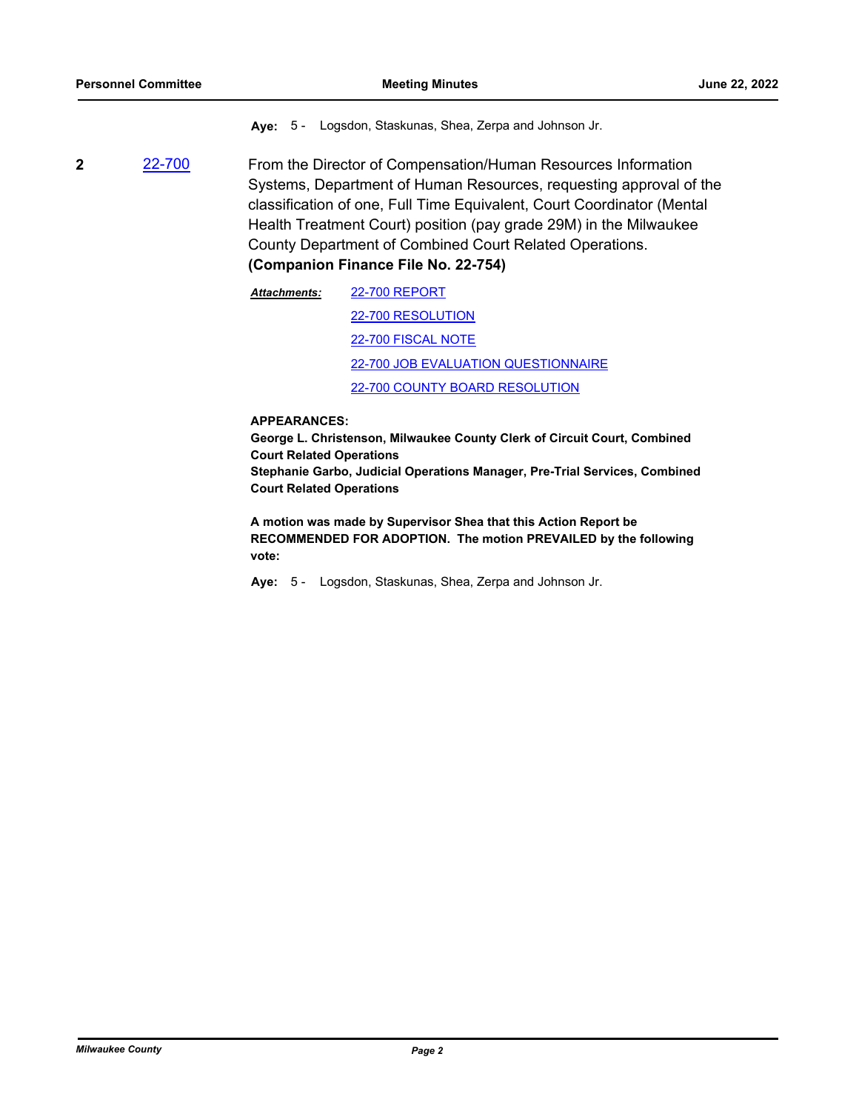**Aye:** 5 - Logsdon, Staskunas, Shea, Zerpa and Johnson Jr.

**2** [22-700](http://milwaukeecounty.legistar.com/gateway.aspx?m=l&id=/matter.aspx?key=12399) From the Director of Compensation/Human Resources Information Systems, Department of Human Resources, requesting approval of the classification of one, Full Time Equivalent, Court Coordinator (Mental Health Treatment Court) position (pay grade 29M) in the Milwaukee County Department of Combined Court Related Operations.

**(Companion Finance File No. 22-754)**

[22-700 REPORT](http://MilwaukeeCounty.legistar.com/gateway.aspx?M=F&ID=a35c2221-a5df-4421-81d3-4169c4515b1c.pdf) [22-700 RESOLUTION](http://MilwaukeeCounty.legistar.com/gateway.aspx?M=F&ID=29d027db-649d-45b5-b1d1-fdaa503f7f63.docx) [22-700 FISCAL NOTE](http://MilwaukeeCounty.legistar.com/gateway.aspx?M=F&ID=ab271867-a839-4003-b0a4-a316a5365797.pdf) [22-700 JOB EVALUATION QUESTIONNAIRE](http://MilwaukeeCounty.legistar.com/gateway.aspx?M=F&ID=c68f90e6-52e1-4e02-8271-5bba653de9da.doc) [22-700 COUNTY BOARD RESOLUTION](http://MilwaukeeCounty.legistar.com/gateway.aspx?M=F&ID=a2bec6f8-294f-4afb-80fa-5f7b3e0cbbaa.pdf) *Attachments:*

#### **APPEARANCES:**

**George L. Christenson, Milwaukee County Clerk of Circuit Court, Combined Court Related Operations Stephanie Garbo, Judicial Operations Manager, Pre-Trial Services, Combined Court Related Operations**

**A motion was made by Supervisor Shea that this Action Report be RECOMMENDED FOR ADOPTION. The motion PREVAILED by the following vote:**

**Aye:** 5 - Logsdon, Staskunas, Shea, Zerpa and Johnson Jr.